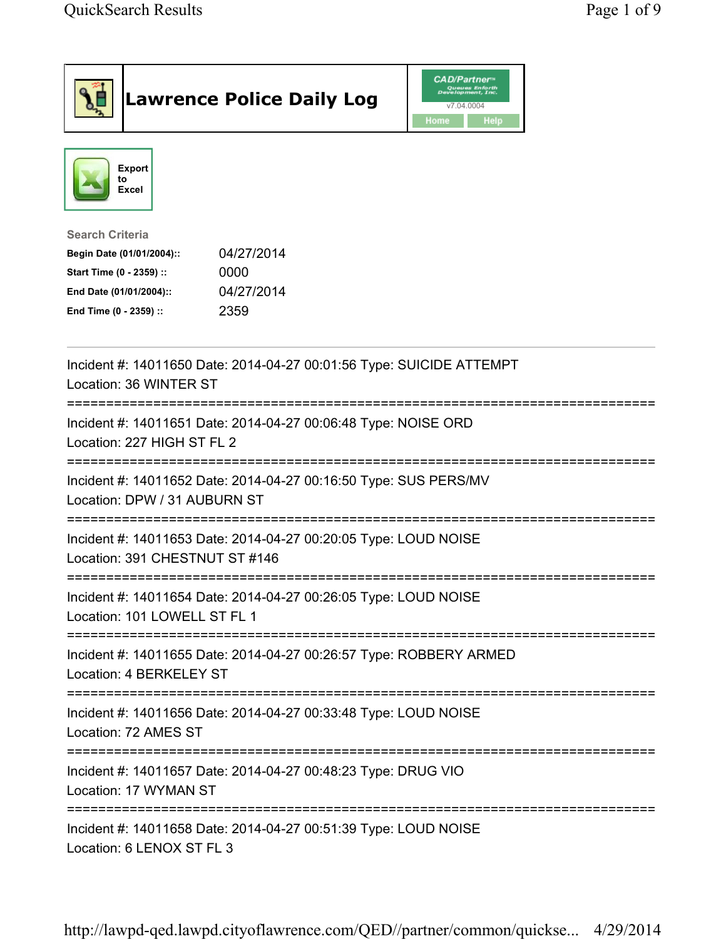|                                                                                                                                      | <b>Lawrence Police Daily Log</b>                                     | <b>CAD/Partner</b> <sup>*</sup><br>Queues Enforth<br>Development, Inc.<br>v7.04.0004<br>Home<br>Help |  |
|--------------------------------------------------------------------------------------------------------------------------------------|----------------------------------------------------------------------|------------------------------------------------------------------------------------------------------|--|
| <b>Export</b><br>to<br>Excel                                                                                                         |                                                                      |                                                                                                      |  |
| <b>Search Criteria</b><br>Begin Date (01/01/2004)::<br>Start Time (0 - 2359) ::<br>End Date (01/01/2004)::<br>End Time (0 - 2359) :: | 04/27/2014<br>0000<br>04/27/2014<br>2359                             |                                                                                                      |  |
| Location: 36 WINTER ST                                                                                                               | Incident #: 14011650 Date: 2014-04-27 00:01:56 Type: SUICIDE ATTEMPT |                                                                                                      |  |
| =============================<br>Location: 227 HIGH ST FL 2                                                                          | Incident #: 14011651 Date: 2014-04-27 00:06:48 Type: NOISE ORD       |                                                                                                      |  |
| Location: DPW / 31 AUBURN ST                                                                                                         | Incident #: 14011652 Date: 2014-04-27 00:16:50 Type: SUS PERS/MV     |                                                                                                      |  |
| Location: 391 CHESTNUT ST #146                                                                                                       | Incident #: 14011653 Date: 2014-04-27 00:20:05 Type: LOUD NOISE      |                                                                                                      |  |
| Location: 101 LOWELL ST FL 1                                                                                                         | Incident #: 14011654 Date: 2014-04-27 00:26:05 Type: LOUD NOISE      |                                                                                                      |  |
| Location: 4 BERKELEY ST                                                                                                              | Incident #: 14011655 Date: 2014-04-27 00:26:57 Type: ROBBERY ARMED   |                                                                                                      |  |
| Location: 72 AMES ST                                                                                                                 | Incident #: 14011656 Date: 2014-04-27 00:33:48 Type: LOUD NOISE      |                                                                                                      |  |
| Incident #: 14011657 Date: 2014-04-27 00:48:23 Type: DRUG VIO<br>Location: 17 WYMAN ST                                               |                                                                      |                                                                                                      |  |
| ;===================================<br>Incident #: 14011658 Date: 2014-04-27 00:51:39 Type: LOUD NOISE<br>Location: 6 LENOX ST FL 3 |                                                                      |                                                                                                      |  |

http://lawpd-qed.lawpd.cityoflawrence.com/QED//partner/common/quickse... 4/29/2014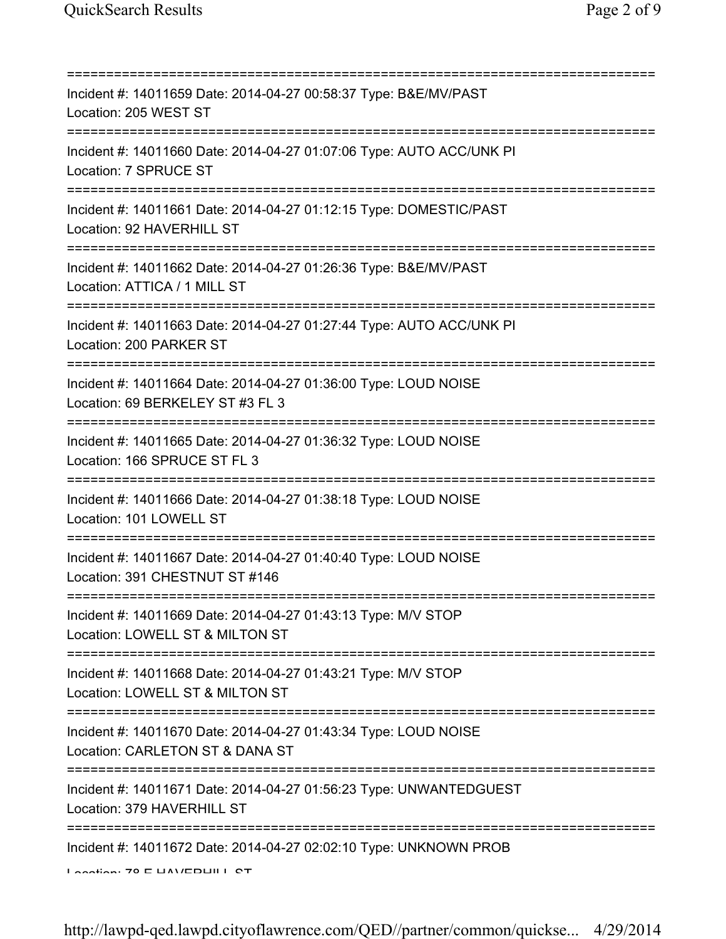| Incident #: 14011659 Date: 2014-04-27 00:58:37 Type: B&E/MV/PAST<br>Location: 205 WEST ST                                                         |
|---------------------------------------------------------------------------------------------------------------------------------------------------|
| Incident #: 14011660 Date: 2014-04-27 01:07:06 Type: AUTO ACC/UNK PI<br>Location: 7 SPRUCE ST                                                     |
| Incident #: 14011661 Date: 2014-04-27 01:12:15 Type: DOMESTIC/PAST<br>Location: 92 HAVERHILL ST                                                   |
| Incident #: 14011662 Date: 2014-04-27 01:26:36 Type: B&E/MV/PAST<br>Location: ATTICA / 1 MILL ST                                                  |
| Incident #: 14011663 Date: 2014-04-27 01:27:44 Type: AUTO ACC/UNK PI<br>Location: 200 PARKER ST                                                   |
| Incident #: 14011664 Date: 2014-04-27 01:36:00 Type: LOUD NOISE<br>Location: 69 BERKELEY ST #3 FL 3                                               |
| Incident #: 14011665 Date: 2014-04-27 01:36:32 Type: LOUD NOISE<br>Location: 166 SPRUCE ST FL 3<br>======================================         |
| Incident #: 14011666 Date: 2014-04-27 01:38:18 Type: LOUD NOISE<br>Location: 101 LOWELL ST                                                        |
| Incident #: 14011667 Date: 2014-04-27 01:40:40 Type: LOUD NOISE<br>Location: 391 CHESTNUT ST #146                                                 |
| Incident #: 14011669 Date: 2014-04-27 01:43:13 Type: M/V STOP<br>Location: LOWELL ST & MILTON ST                                                  |
| ==========================<br>===============<br>Incident #: 14011668 Date: 2014-04-27 01:43:21 Type: M/V STOP<br>Location: LOWELL ST & MILTON ST |
| Incident #: 14011670 Date: 2014-04-27 01:43:34 Type: LOUD NOISE<br>Location: CARLETON ST & DANA ST                                                |
| Incident #: 14011671 Date: 2014-04-27 01:56:23 Type: UNWANTEDGUEST<br>Location: 379 HAVERHILL ST                                                  |
| Incident #: 14011672 Date: 2014-04-27 02:02:10 Type: UNKNOWN PROB                                                                                 |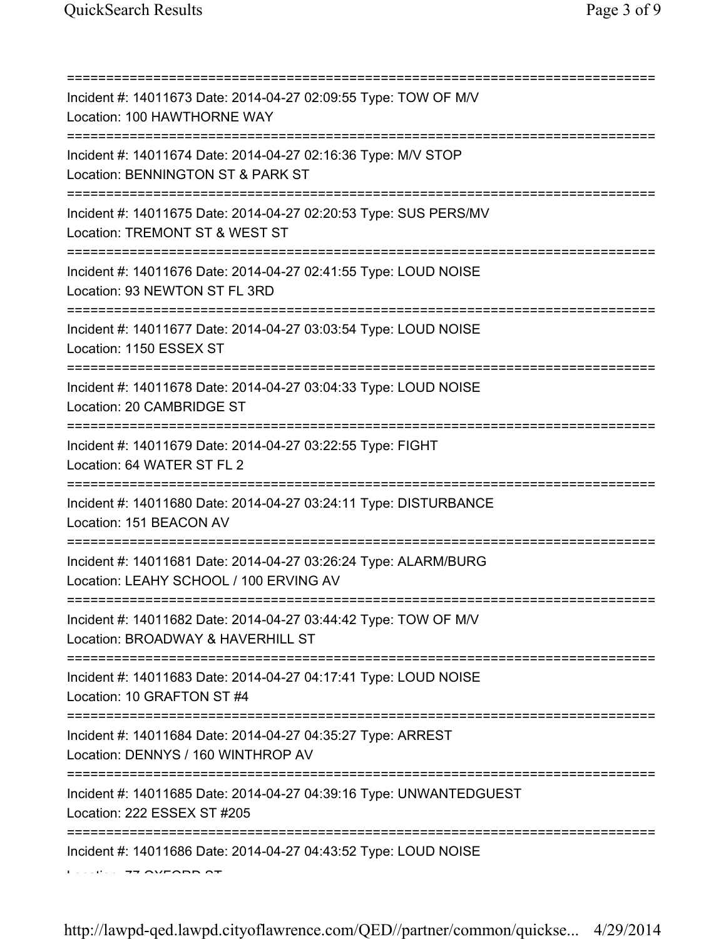| Incident #: 14011673 Date: 2014-04-27 02:09:55 Type: TOW OF M/V<br>Location: 100 HAWTHORNE WAY                                 |
|--------------------------------------------------------------------------------------------------------------------------------|
| Incident #: 14011674 Date: 2014-04-27 02:16:36 Type: M/V STOP<br>Location: BENNINGTON ST & PARK ST<br>======================== |
| Incident #: 14011675 Date: 2014-04-27 02:20:53 Type: SUS PERS/MV<br>Location: TREMONT ST & WEST ST                             |
| Incident #: 14011676 Date: 2014-04-27 02:41:55 Type: LOUD NOISE<br>Location: 93 NEWTON ST FL 3RD<br>======================     |
| Incident #: 14011677 Date: 2014-04-27 03:03:54 Type: LOUD NOISE<br>Location: 1150 ESSEX ST                                     |
| Incident #: 14011678 Date: 2014-04-27 03:04:33 Type: LOUD NOISE<br>Location: 20 CAMBRIDGE ST                                   |
| =================<br>Incident #: 14011679 Date: 2014-04-27 03:22:55 Type: FIGHT<br>Location: 64 WATER ST FL 2                  |
| Incident #: 14011680 Date: 2014-04-27 03:24:11 Type: DISTURBANCE<br>Location: 151 BEACON AV                                    |
| Incident #: 14011681 Date: 2014-04-27 03:26:24 Type: ALARM/BURG<br>Location: LEAHY SCHOOL / 100 ERVING AV                      |
| Incident #: 14011682 Date: 2014-04-27 03:44:42 Type: TOW OF M/V<br>Location: BROADWAY & HAVERHILL ST                           |
| Incident #: 14011683 Date: 2014-04-27 04:17:41 Type: LOUD NOISE<br>Location: 10 GRAFTON ST #4                                  |
| Incident #: 14011684 Date: 2014-04-27 04:35:27 Type: ARREST<br>Location: DENNYS / 160 WINTHROP AV                              |
| Incident #: 14011685 Date: 2014-04-27 04:39:16 Type: UNWANTEDGUEST<br>Location: 222 ESSEX ST #205                              |
| Incident #: 14011686 Date: 2014-04-27 04:43:52 Type: LOUD NOISE                                                                |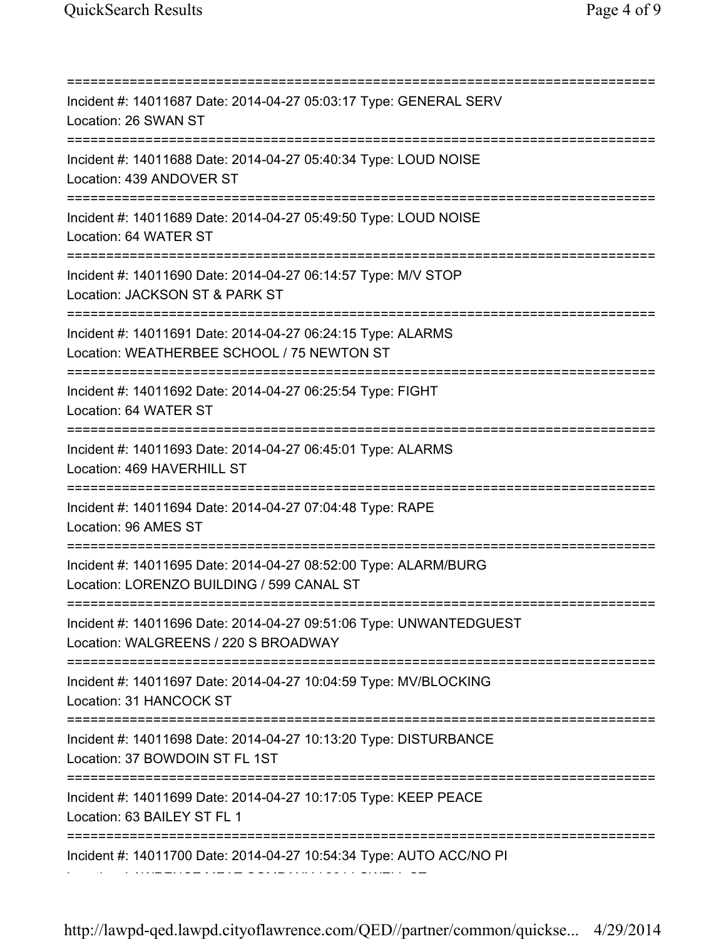=========================================================================== Incident #: 14011687 Date: 2014-04-27 05:03:17 Type: GENERAL SERV Location: 26 SWAN ST =========================================================================== Incident #: 14011688 Date: 2014-04-27 05:40:34 Type: LOUD NOISE Location: 439 ANDOVER ST =========================================================================== Incident #: 14011689 Date: 2014-04-27 05:49:50 Type: LOUD NOISE Location: 64 WATER ST =========================================================================== Incident #: 14011690 Date: 2014-04-27 06:14:57 Type: M/V STOP Location: JACKSON ST & PARK ST =========================================================================== Incident #: 14011691 Date: 2014-04-27 06:24:15 Type: ALARMS Location: WEATHERBEE SCHOOL / 75 NEWTON ST =========================================================================== Incident #: 14011692 Date: 2014-04-27 06:25:54 Type: FIGHT Location: 64 WATER ST =========================================================================== Incident #: 14011693 Date: 2014-04-27 06:45:01 Type: ALARMS Location: 469 HAVERHILL ST =========================================================================== Incident #: 14011694 Date: 2014-04-27 07:04:48 Type: RAPE Location: 96 AMES ST =========================================================================== Incident #: 14011695 Date: 2014-04-27 08:52:00 Type: ALARM/BURG Location: LORENZO BUILDING / 599 CANAL ST =========================================================================== Incident #: 14011696 Date: 2014-04-27 09:51:06 Type: UNWANTEDGUEST Location: WALGREENS / 220 S BROADWAY =========================================================================== Incident #: 14011697 Date: 2014-04-27 10:04:59 Type: MV/BLOCKING Location: 31 HANCOCK ST =========================================================================== Incident #: 14011698 Date: 2014-04-27 10:13:20 Type: DISTURBANCE Location: 37 BOWDOIN ST FL 1ST =========================================================================== Incident #: 14011699 Date: 2014-04-27 10:17:05 Type: KEEP PEACE Location: 63 BAILEY ST FL 1 =========================================================================== Incident #: 14011700 Date: 2014-04-27 10:54:34 Type: AUTO ACC/NO PI Location: LAWRENCE MEAT COMPANY / 264 LOWELL ST

http://lawpd-qed.lawpd.cityoflawrence.com/QED//partner/common/quickse... 4/29/2014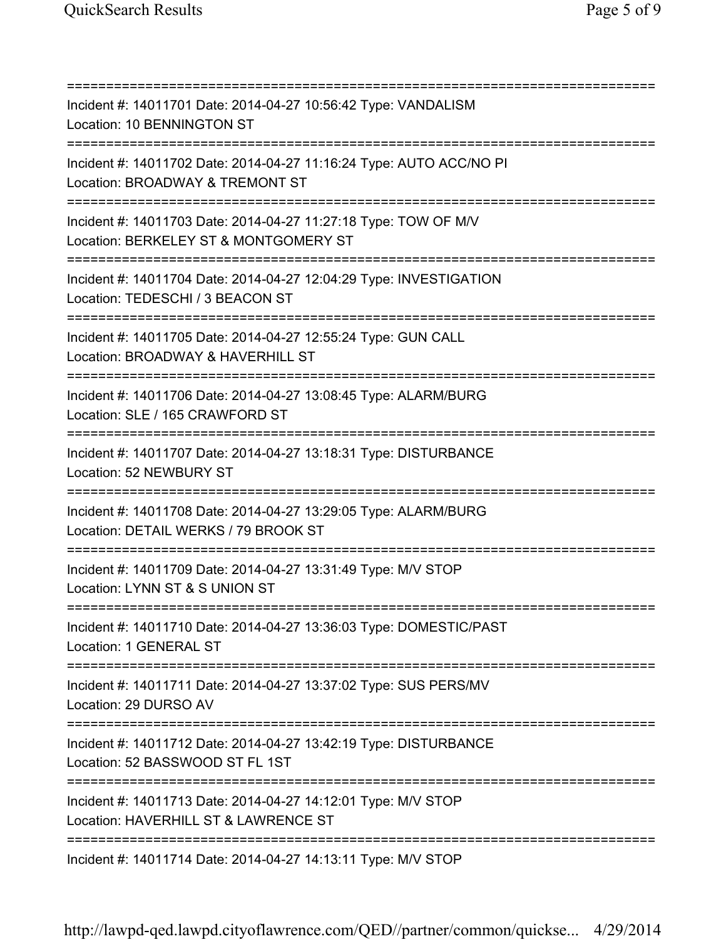| Incident #: 14011701 Date: 2014-04-27 10:56:42 Type: VANDALISM<br>Location: 10 BENNINGTON ST<br>=====================================       |
|---------------------------------------------------------------------------------------------------------------------------------------------|
| Incident #: 14011702 Date: 2014-04-27 11:16:24 Type: AUTO ACC/NO PI<br>Location: BROADWAY & TREMONT ST<br>================================  |
| Incident #: 14011703 Date: 2014-04-27 11:27:18 Type: TOW OF M/V<br>Location: BERKELEY ST & MONTGOMERY ST<br>=============================== |
| Incident #: 14011704 Date: 2014-04-27 12:04:29 Type: INVESTIGATION<br>Location: TEDESCHI / 3 BEACON ST                                      |
| Incident #: 14011705 Date: 2014-04-27 12:55:24 Type: GUN CALL<br>Location: BROADWAY & HAVERHILL ST                                          |
| Incident #: 14011706 Date: 2014-04-27 13:08:45 Type: ALARM/BURG<br>Location: SLE / 165 CRAWFORD ST                                          |
| Incident #: 14011707 Date: 2014-04-27 13:18:31 Type: DISTURBANCE<br>Location: 52 NEWBURY ST                                                 |
| Incident #: 14011708 Date: 2014-04-27 13:29:05 Type: ALARM/BURG<br>Location: DETAIL WERKS / 79 BROOK ST<br>==============================   |
| Incident #: 14011709 Date: 2014-04-27 13:31:49 Type: M/V STOP<br>Location: LYNN ST & S UNION ST                                             |
| Incident #: 14011710 Date: 2014-04-27 13:36:03 Type: DOMESTIC/PAST<br>Location: 1 GENERAL ST                                                |
| Incident #: 14011711 Date: 2014-04-27 13:37:02 Type: SUS PERS/MV<br>Location: 29 DURSO AV                                                   |
| Incident #: 14011712 Date: 2014-04-27 13:42:19 Type: DISTURBANCE<br>Location: 52 BASSWOOD ST FL 1ST                                         |
| Incident #: 14011713 Date: 2014-04-27 14:12:01 Type: M/V STOP<br>Location: HAVERHILL ST & LAWRENCE ST                                       |
| Incident #: 14011714 Date: 2014-04-27 14:13:11 Type: M/V STOP                                                                               |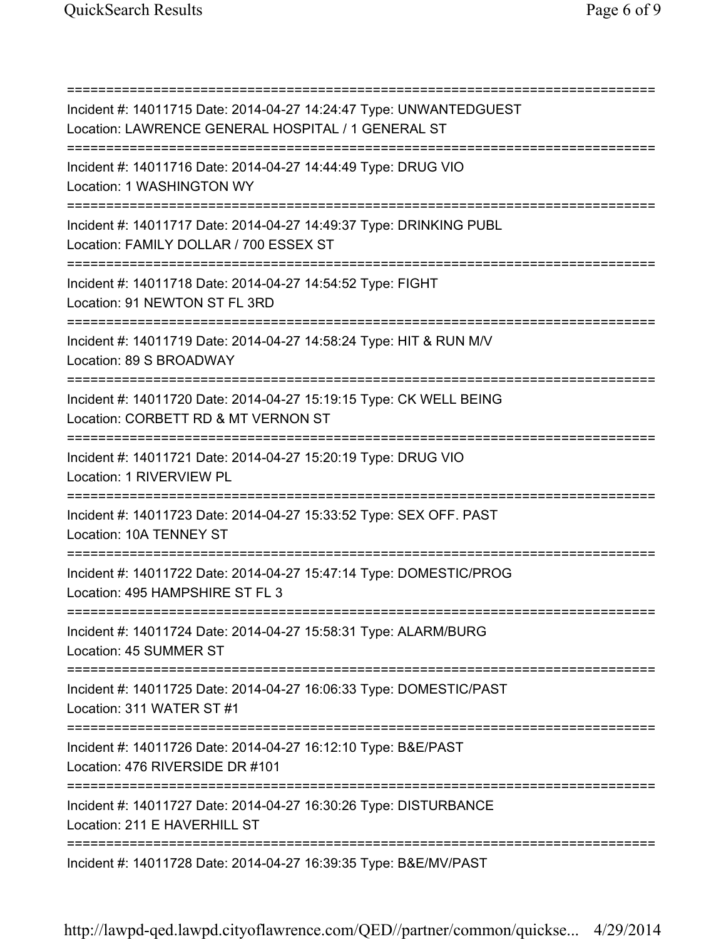=========================================================================== Incident #: 14011715 Date: 2014-04-27 14:24:47 Type: UNWANTEDGUEST Location: LAWRENCE GENERAL HOSPITAL / 1 GENERAL ST =========================================================================== Incident #: 14011716 Date: 2014-04-27 14:44:49 Type: DRUG VIO Location: 1 WASHINGTON WY =========================================================================== Incident #: 14011717 Date: 2014-04-27 14:49:37 Type: DRINKING PUBL Location: FAMILY DOLLAR / 700 ESSEX ST =========================================================================== Incident #: 14011718 Date: 2014-04-27 14:54:52 Type: FIGHT Location: 91 NEWTON ST FL 3RD =========================================================================== Incident #: 14011719 Date: 2014-04-27 14:58:24 Type: HIT & RUN M/V Location: 89 S BROADWAY =========================================================================== Incident #: 14011720 Date: 2014-04-27 15:19:15 Type: CK WELL BEING Location: CORBETT RD & MT VERNON ST =========================================================================== Incident #: 14011721 Date: 2014-04-27 15:20:19 Type: DRUG VIO Location: 1 RIVERVIEW PL =========================================================================== Incident #: 14011723 Date: 2014-04-27 15:33:52 Type: SEX OFF. PAST Location: 10A TENNEY ST =========================================================================== Incident #: 14011722 Date: 2014-04-27 15:47:14 Type: DOMESTIC/PROG Location: 495 HAMPSHIRE ST FL 3 =========================================================================== Incident #: 14011724 Date: 2014-04-27 15:58:31 Type: ALARM/BURG Location: 45 SUMMER ST =========================================================================== Incident #: 14011725 Date: 2014-04-27 16:06:33 Type: DOMESTIC/PAST Location: 311 WATER ST #1 =========================================================================== Incident #: 14011726 Date: 2014-04-27 16:12:10 Type: B&E/PAST Location: 476 RIVERSIDE DR #101 =========================================================================== Incident #: 14011727 Date: 2014-04-27 16:30:26 Type: DISTURBANCE Location: 211 E HAVERHILL ST =========================================================================== Incident #: 14011728 Date: 2014-04-27 16:39:35 Type: B&E/MV/PAST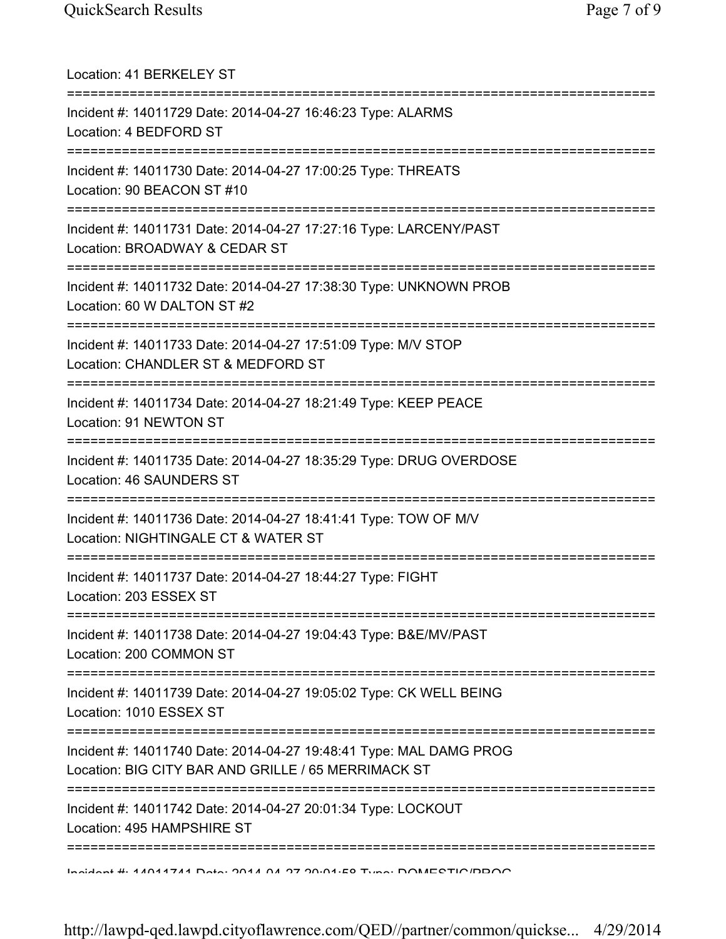| Location: 41 BERKELEY ST                                                                                                                 |
|------------------------------------------------------------------------------------------------------------------------------------------|
| Incident #: 14011729 Date: 2014-04-27 16:46:23 Type: ALARMS<br>Location: 4 BEDFORD ST                                                    |
| Incident #: 14011730 Date: 2014-04-27 17:00:25 Type: THREATS<br>Location: 90 BEACON ST #10                                               |
| Incident #: 14011731 Date: 2014-04-27 17:27:16 Type: LARCENY/PAST<br>Location: BROADWAY & CEDAR ST                                       |
| Incident #: 14011732 Date: 2014-04-27 17:38:30 Type: UNKNOWN PROB<br>Location: 60 W DALTON ST #2<br>==================================== |
| Incident #: 14011733 Date: 2014-04-27 17:51:09 Type: M/V STOP<br>Location: CHANDLER ST & MEDFORD ST                                      |
| Incident #: 14011734 Date: 2014-04-27 18:21:49 Type: KEEP PEACE<br>Location: 91 NEWTON ST                                                |
| Incident #: 14011735 Date: 2014-04-27 18:35:29 Type: DRUG OVERDOSE<br>Location: 46 SAUNDERS ST                                           |
| Incident #: 14011736 Date: 2014-04-27 18:41:41 Type: TOW OF M/V<br>Location: NIGHTINGALE CT & WATER ST                                   |
| Incident #: 14011737 Date: 2014-04-27 18:44:27 Type: FIGHT<br>Location: 203 ESSEX ST                                                     |
| Incident #: 14011738 Date: 2014-04-27 19:04:43 Type: B&E/MV/PAST<br>Location: 200 COMMON ST                                              |
| Incident #: 14011739 Date: 2014-04-27 19:05:02 Type: CK WELL BEING<br>Location: 1010 ESSEX ST                                            |
| Incident #: 14011740 Date: 2014-04-27 19:48:41 Type: MAL DAMG PROG<br>Location: BIG CITY BAR AND GRILLE / 65 MERRIMACK ST                |
| ================<br>Incident #: 14011742 Date: 2014-04-27 20:01:34 Type: LOCKOUT<br>Location: 495 HAMPSHIRE ST                           |
| Indident # 4 4 AN 4744 Data: 0044 A4 97 90.04.E0 Tuna: DOMECTIO/DDOO                                                                     |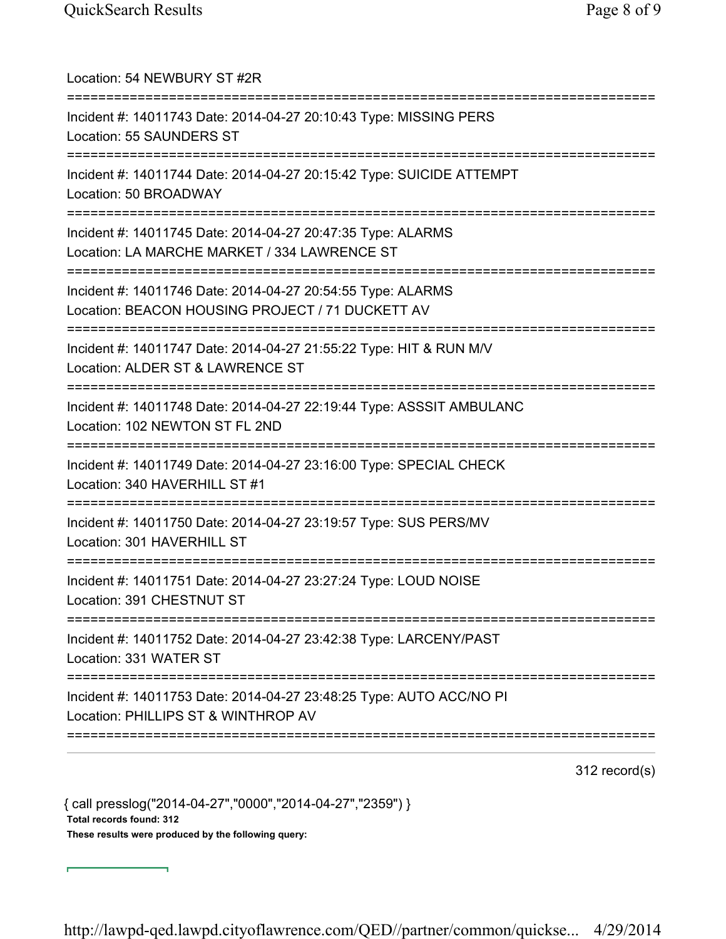| Location: 54 NEWBURY ST #2R<br>==========================                                                                                            |
|------------------------------------------------------------------------------------------------------------------------------------------------------|
| Incident #: 14011743 Date: 2014-04-27 20:10:43 Type: MISSING PERS<br>Location: 55 SAUNDERS ST<br>===================================                 |
| Incident #: 14011744 Date: 2014-04-27 20:15:42 Type: SUICIDE ATTEMPT<br>Location: 50 BROADWAY<br>-----------------------------                       |
| Incident #: 14011745 Date: 2014-04-27 20:47:35 Type: ALARMS<br>Location: LA MARCHE MARKET / 334 LAWRENCE ST<br>:==================================== |
| Incident #: 14011746 Date: 2014-04-27 20:54:55 Type: ALARMS<br>Location: BEACON HOUSING PROJECT / 71 DUCKETT AV                                      |
| Incident #: 14011747 Date: 2014-04-27 21:55:22 Type: HIT & RUN M/V<br>Location: ALDER ST & LAWRENCE ST                                               |
| Incident #: 14011748 Date: 2014-04-27 22:19:44 Type: ASSSIT AMBULANC<br>Location: 102 NEWTON ST FL 2ND                                               |
| Incident #: 14011749 Date: 2014-04-27 23:16:00 Type: SPECIAL CHECK<br>Location: 340 HAVERHILL ST #1                                                  |
| Incident #: 14011750 Date: 2014-04-27 23:19:57 Type: SUS PERS/MV<br>Location: 301 HAVERHILL ST                                                       |
| Incident #: 14011751 Date: 2014-04-27 23:27:24 Type: LOUD NOISE<br>Location: 391 CHESTNUT ST                                                         |
| :======================<br>Incident #: 14011752 Date: 2014-04-27 23:42:38 Type: LARCENY/PAST<br>Location: 331 WATER ST                               |
| Incident #: 14011753 Date: 2014-04-27 23:48:25 Type: AUTO ACC/NO PI<br>Location: PHILLIPS ST & WINTHROP AV                                           |
|                                                                                                                                                      |

312 record(s)

{ call presslog("2014-04-27","0000","2014-04-27","2359") } Total records found: 312 These results were produced by the following query:

┓